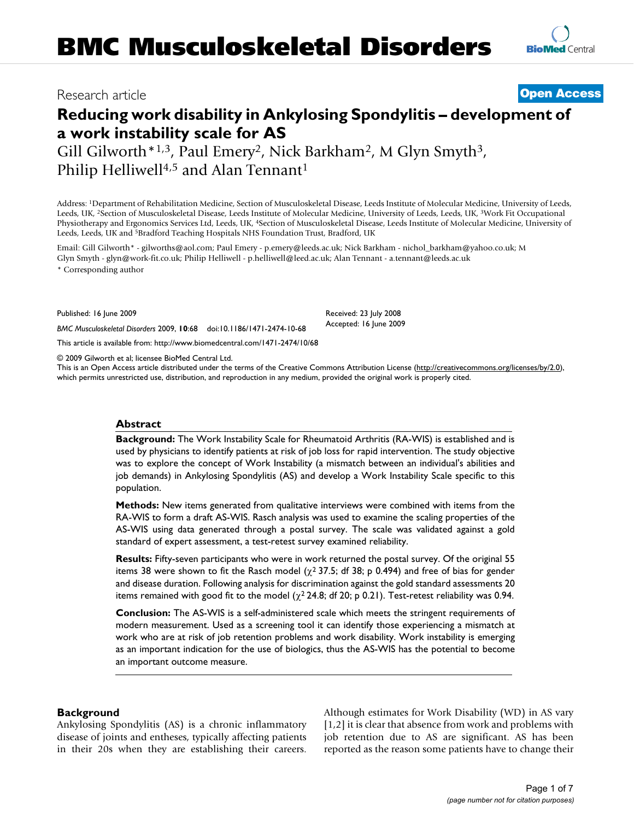# **Reducing work disability in Ankylosing Spondylitis – development of a work instability scale for AS**

Gill Gilworth\*1,3, Paul Emery<sup>2</sup>, Nick Barkham<sup>2</sup>, M Glyn Smyth<sup>3</sup>, Philip Helliwell<sup>4,5</sup> and Alan Tennant<sup>1</sup>

Address: 1Department of Rehabilitation Medicine, Section of Musculoskeletal Disease, Leeds Institute of Molecular Medicine, University of Leeds, Leeds, UK, 2Section of Musculoskeletal Disease, Leeds Institute of Molecular Medicine, University of Leeds, Leeds, UK, 3Work Fit Occupational Physiotherapy and Ergonomics Services Ltd, Leeds, UK, 4Section of Musculoskeletal Disease, Leeds Institute of Molecular Medicine, University of Leeds, Leeds, UK and 5Bradford Teaching Hospitals NHS Foundation Trust, Bradford, UK

Email: Gill Gilworth\* - gilworths@aol.com; Paul Emery - p.emery@leeds.ac.uk; Nick Barkham - nichol\_barkham@yahoo.co.uk; M Glyn Smyth - glyn@work-fit.co.uk; Philip Helliwell - p.helliwell@leed.ac.uk; Alan Tennant - a.tennant@leeds.ac.uk

\* Corresponding author

Published: 16 June 2009

*BMC Musculoskeletal Disorders* 2009, **10**:68 doi:10.1186/1471-2474-10-68

[This article is available from: http://www.biomedcentral.com/1471-2474/10/68](http://www.biomedcentral.com/1471-2474/10/68)

© 2009 Gilworth et al; licensee BioMed Central Ltd.

This is an Open Access article distributed under the terms of the Creative Commons Attribution License [\(http://creativecommons.org/licenses/by/2.0\)](http://creativecommons.org/licenses/by/2.0), which permits unrestricted use, distribution, and reproduction in any medium, provided the original work is properly cited.

Received: 23 July 2008 Accepted: 16 June 2009

# **Abstract**

**Background:** The Work Instability Scale for Rheumatoid Arthritis (RA-WIS) is established and is used by physicians to identify patients at risk of job loss for rapid intervention. The study objective was to explore the concept of Work Instability (a mismatch between an individual's abilities and job demands) in Ankylosing Spondylitis (AS) and develop a Work Instability Scale specific to this population.

**Methods:** New items generated from qualitative interviews were combined with items from the RA-WIS to form a draft AS-WIS. Rasch analysis was used to examine the scaling properties of the AS-WIS using data generated through a postal survey. The scale was validated against a gold standard of expert assessment, a test-retest survey examined reliability.

**Results:** Fifty-seven participants who were in work returned the postal survey. Of the original 55 items 38 were shown to fit the Rasch model ( $\chi^2$  37.5; df 38; p 0.494) and free of bias for gender and disease duration. Following analysis for discrimination against the gold standard assessments 20 items remained with good fit to the model ( $\chi^2$  24.8; df 20; p 0.21). Test-retest reliability was 0.94.

**Conclusion:** The AS-WIS is a self-administered scale which meets the stringent requirements of modern measurement. Used as a screening tool it can identify those experiencing a mismatch at work who are at risk of job retention problems and work disability. Work instability is emerging as an important indication for the use of biologics, thus the AS-WIS has the potential to become an important outcome measure.

# **Background**

Ankylosing Spondylitis (AS) is a chronic inflammatory disease of joints and entheses, typically affecting patients in their 20s when they are establishing their careers. Although estimates for Work Disability (WD) in AS vary [1,2] it is clear that absence from work and problems with job retention due to AS are significant. AS has been reported as the reason some patients have to change their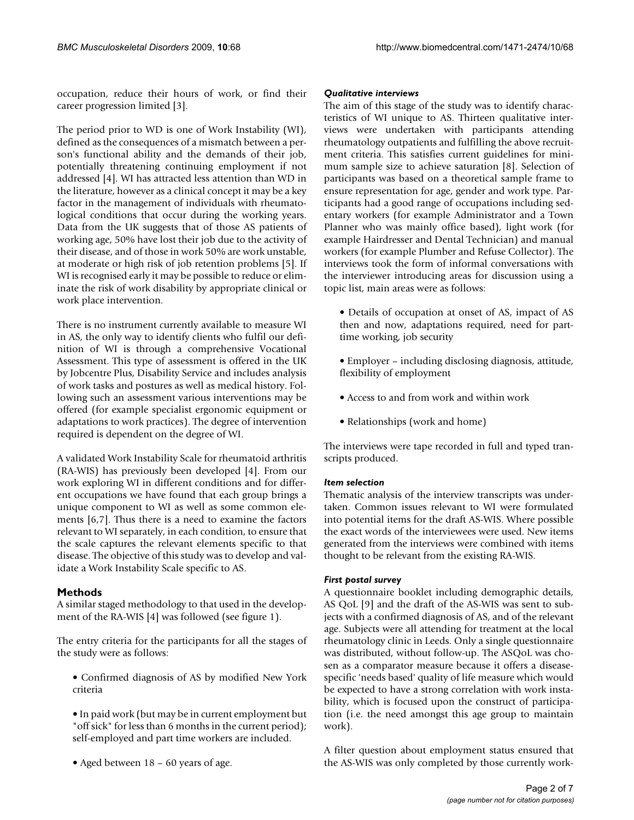occupation, reduce their hours of work, or find their career progression limited [3].

The period prior to WD is one of Work Instability (WI), defined as the consequences of a mismatch between a person's functional ability and the demands of their job, potentially threatening continuing employment if not addressed [4]. WI has attracted less attention than WD in the literature, however as a clinical concept it may be a key factor in the management of individuals with rheumatological conditions that occur during the working years. Data from the UK suggests that of those AS patients of working age, 50% have lost their job due to the activity of their disease, and of those in work 50% are work unstable, at moderate or high risk of job retention problems [5]. If WI is recognised early it may be possible to reduce or eliminate the risk of work disability by appropriate clinical or work place intervention.

There is no instrument currently available to measure WI in AS, the only way to identify clients who fulfil our definition of WI is through a comprehensive Vocational Assessment. This type of assessment is offered in the UK by Jobcentre Plus, Disability Service and includes analysis of work tasks and postures as well as medical history. Following such an assessment various interventions may be offered (for example specialist ergonomic equipment or adaptations to work practices). The degree of intervention required is dependent on the degree of WI.

A validated Work Instability Scale for rheumatoid arthritis (RA-WIS) has previously been developed [4]. From our work exploring WI in different conditions and for different occupations we have found that each group brings a unique component to WI as well as some common elements [6,7]. Thus there is a need to examine the factors relevant to WI separately, in each condition, to ensure that the scale captures the relevant elements specific to that disease. The objective of this study was to develop and validate a Work Instability Scale specific to AS.

# **Methods**

A similar staged methodology to that used in the development of the RA-WIS [4] was followed (see figure 1).

The entry criteria for the participants for all the stages of the study were as follows:

- Confirmed diagnosis of AS by modified New York criteria
- In paid work (but may be in current employment but "off sick" for less than 6 months in the current period); self-employed and part time workers are included.
- Aged between 18 60 years of age.

#### *Qualitative interviews*

The aim of this stage of the study was to identify characteristics of WI unique to AS. Thirteen qualitative interviews were undertaken with participants attending rheumatology outpatients and fulfilling the above recruitment criteria. This satisfies current guidelines for minimum sample size to achieve saturation [8]. Selection of participants was based on a theoretical sample frame to ensure representation for age, gender and work type. Participants had a good range of occupations including sedentary workers (for example Administrator and a Town Planner who was mainly office based), light work (for example Hairdresser and Dental Technician) and manual workers (for example Plumber and Refuse Collector). The interviews took the form of informal conversations with the interviewer introducing areas for discussion using a topic list, main areas were as follows:

- Details of occupation at onset of AS, impact of AS then and now, adaptations required, need for parttime working, job security
- Employer including disclosing diagnosis, attitude, flexibility of employment
- Access to and from work and within work
- Relationships (work and home)

The interviews were tape recorded in full and typed transcripts produced.

# *Item selection*

Thematic analysis of the interview transcripts was undertaken. Common issues relevant to WI were formulated into potential items for the draft AS-WIS. Where possible the exact words of the interviewees were used. New items generated from the interviews were combined with items thought to be relevant from the existing RA-WIS.

# *First postal survey*

A questionnaire booklet including demographic details, AS QoL [9] and the draft of the AS-WIS was sent to subjects with a confirmed diagnosis of AS, and of the relevant age. Subjects were all attending for treatment at the local rheumatology clinic in Leeds. Only a single questionnaire was distributed, without follow-up. The ASQoL was chosen as a comparator measure because it offers a diseasespecific 'needs based' quality of life measure which would be expected to have a strong correlation with work instability, which is focused upon the construct of participation (i.e. the need amongst this age group to maintain work).

A filter question about employment status ensured that the AS-WIS was only completed by those currently work-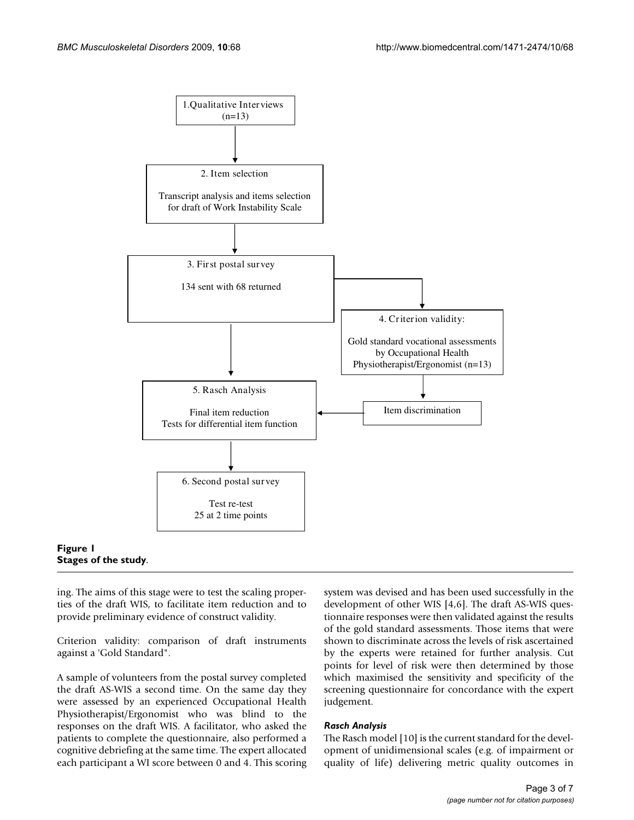

#### **Figure 1 Stages of the study**.

ing. The aims of this stage were to test the scaling properties of the draft WIS, to facilitate item reduction and to provide preliminary evidence of construct validity.

Criterion validity: comparison of draft instruments against a 'Gold Standard".

A sample of volunteers from the postal survey completed the draft AS-WIS a second time. On the same day they were assessed by an experienced Occupational Health Physiotherapist/Ergonomist who was blind to the responses on the draft WIS. A facilitator, who asked the patients to complete the questionnaire, also performed a cognitive debriefing at the same time. The expert allocated each participant a WI score between 0 and 4. This scoring system was devised and has been used successfully in the development of other WIS [4,6]. The draft AS-WIS questionnaire responses were then validated against the results of the gold standard assessments. Those items that were shown to discriminate across the levels of risk ascertained by the experts were retained for further analysis. Cut points for level of risk were then determined by those which maximised the sensitivity and specificity of the screening questionnaire for concordance with the expert judgement.

#### *Rasch Analysis*

The Rasch model [10] is the current standard for the development of unidimensional scales (e.g. of impairment or quality of life) delivering metric quality outcomes in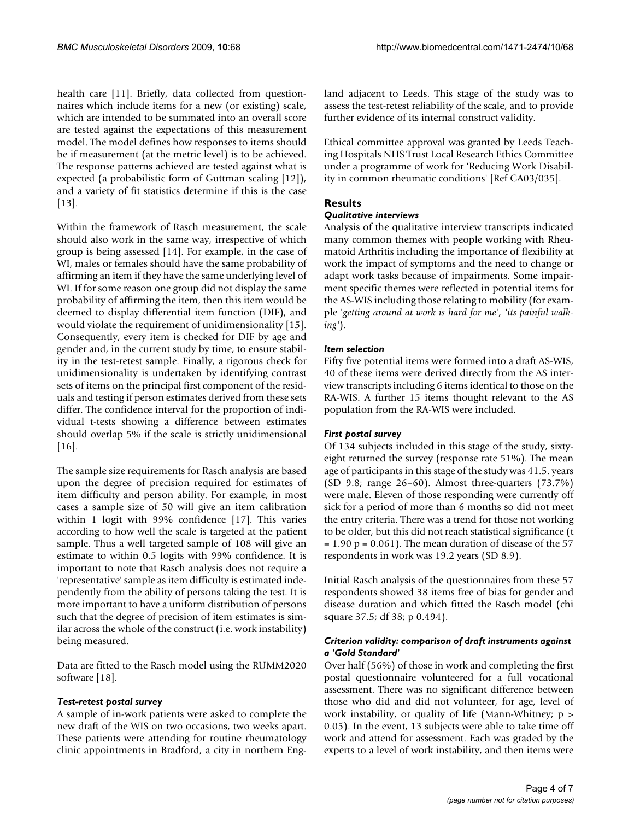health care [11]. Briefly, data collected from questionnaires which include items for a new (or existing) scale, which are intended to be summated into an overall score are tested against the expectations of this measurement model. The model defines how responses to items should be if measurement (at the metric level) is to be achieved. The response patterns achieved are tested against what is expected (a probabilistic form of Guttman scaling [12]), and a variety of fit statistics determine if this is the case [13].

Within the framework of Rasch measurement, the scale should also work in the same way, irrespective of which group is being assessed [14]. For example, in the case of WI, males or females should have the same probability of affirming an item if they have the same underlying level of WI. If for some reason one group did not display the same probability of affirming the item, then this item would be deemed to display differential item function (DIF), and would violate the requirement of unidimensionality [15]. Consequently, every item is checked for DIF by age and gender and, in the current study by time, to ensure stability in the test-retest sample. Finally, a rigorous check for unidimensionality is undertaken by identifying contrast sets of items on the principal first component of the residuals and testing if person estimates derived from these sets differ. The confidence interval for the proportion of individual t-tests showing a difference between estimates should overlap 5% if the scale is strictly unidimensional  $[16]$ .

The sample size requirements for Rasch analysis are based upon the degree of precision required for estimates of item difficulty and person ability. For example, in most cases a sample size of 50 will give an item calibration within 1 logit with 99% confidence [17]. This varies according to how well the scale is targeted at the patient sample. Thus a well targeted sample of 108 will give an estimate to within 0.5 logits with 99% confidence. It is important to note that Rasch analysis does not require a 'representative' sample as item difficulty is estimated independently from the ability of persons taking the test. It is more important to have a uniform distribution of persons such that the degree of precision of item estimates is similar across the whole of the construct (i.e. work instability) being measured.

Data are fitted to the Rasch model using the RUMM2020 software [18].

# *Test-retest postal survey*

A sample of in-work patients were asked to complete the new draft of the WIS on two occasions, two weeks apart. These patients were attending for routine rheumatology clinic appointments in Bradford, a city in northern England adjacent to Leeds. This stage of the study was to assess the test-retest reliability of the scale, and to provide further evidence of its internal construct validity.

Ethical committee approval was granted by Leeds Teaching Hospitals NHS Trust Local Research Ethics Committee under a programme of work for 'Reducing Work Disability in common rheumatic conditions' [Ref CA03/035].

# **Results**

#### *Qualitative interviews*

Analysis of the qualitative interview transcripts indicated many common themes with people working with Rheumatoid Arthritis including the importance of flexibility at work the impact of symptoms and the need to change or adapt work tasks because of impairments. Some impairment specific themes were reflected in potential items for the AS-WIS including those relating to mobility (for example '*getting around at work is hard for me', 'its painful walking'*).

### *Item selection*

Fifty five potential items were formed into a draft AS-WIS, 40 of these items were derived directly from the AS interview transcripts including 6 items identical to those on the RA-WIS. A further 15 items thought relevant to the AS population from the RA-WIS were included.

#### *First postal survey*

Of 134 subjects included in this stage of the study, sixtyeight returned the survey (response rate 51%). The mean age of participants in this stage of the study was 41.5. years (SD 9.8; range 26–60). Almost three-quarters (73.7%) were male. Eleven of those responding were currently off sick for a period of more than 6 months so did not meet the entry criteria. There was a trend for those not working to be older, but this did not reach statistical significance (t  $= 1.90$  p  $= 0.061$ ). The mean duration of disease of the 57 respondents in work was 19.2 years (SD 8.9).

Initial Rasch analysis of the questionnaires from these 57 respondents showed 38 items free of bias for gender and disease duration and which fitted the Rasch model (chi square 37.5; df 38; p 0.494).

# *Criterion validity: comparison of draft instruments against a 'Gold Standard'*

Over half (56%) of those in work and completing the first postal questionnaire volunteered for a full vocational assessment. There was no significant difference between those who did and did not volunteer, for age, level of work instability, or quality of life (Mann-Whitney; p > 0.05). In the event, 13 subjects were able to take time off work and attend for assessment. Each was graded by the experts to a level of work instability, and then items were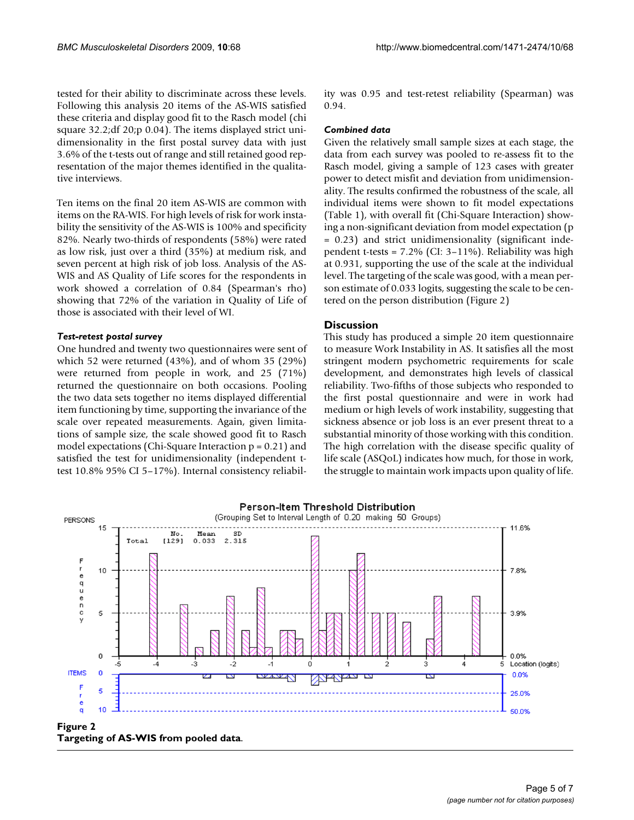tested for their ability to discriminate across these levels. Following this analysis 20 items of the AS-WIS satisfied these criteria and display good fit to the Rasch model (chi square 32.2;df 20;p 0.04). The items displayed strict unidimensionality in the first postal survey data with just 3.6% of the t-tests out of range and still retained good representation of the major themes identified in the qualitative interviews.

Ten items on the final 20 item AS-WIS are common with items on the RA-WIS. For high levels of risk for work instability the sensitivity of the AS-WIS is 100% and specificity 82%. Nearly two-thirds of respondents (58%) were rated as low risk, just over a third (35%) at medium risk, and seven percent at high risk of job loss. Analysis of the AS-WIS and AS Quality of Life scores for the respondents in work showed a correlation of 0.84 (Spearman's rho) showing that 72% of the variation in Quality of Life of those is associated with their level of WI.

#### *Test-retest postal survey*

One hundred and twenty two questionnaires were sent of which 52 were returned (43%), and of whom 35 (29%) were returned from people in work, and 25 (71%) returned the questionnaire on both occasions. Pooling the two data sets together no items displayed differential item functioning by time, supporting the invariance of the scale over repeated measurements. Again, given limitations of sample size, the scale showed good fit to Rasch model expectations (Chi-Square Interaction p = 0.21) and satisfied the test for unidimensionality (independent ttest 10.8% 95% CI 5–17%). Internal consistency reliability was 0.95 and test-retest reliability (Spearman) was 0.94.

#### *Combined data*

Given the relatively small sample sizes at each stage, the data from each survey was pooled to re-assess fit to the Rasch model, giving a sample of 123 cases with greater power to detect misfit and deviation from unidimensionality. The results confirmed the robustness of the scale, all individual items were shown to fit model expectations (Table 1), with overall fit (Chi-Square Interaction) showing a non-significant deviation from model expectation (p = 0.23) and strict unidimensionality (significant independent t-tests = 7.2% (CI: 3–11%). Reliability was high at 0.931, supporting the use of the scale at the individual level. The targeting of the scale was good, with a mean person estimate of 0.033 logits, suggesting the scale to be centered on the person distribution (Figure 2)

### **Discussion**

This study has produced a simple 20 item questionnaire to measure Work Instability in AS. It satisfies all the most stringent modern psychometric requirements for scale development, and demonstrates high levels of classical reliability. Two-fifths of those subjects who responded to the first postal questionnaire and were in work had medium or high levels of work instability, suggesting that sickness absence or job loss is an ever present threat to a substantial minority of those working with this condition. The high correlation with the disease specific quality of life scale (ASQoL) indicates how much, for those in work, the struggle to maintain work impacts upon quality of life.



**Targeting of AS-WIS from pooled data**.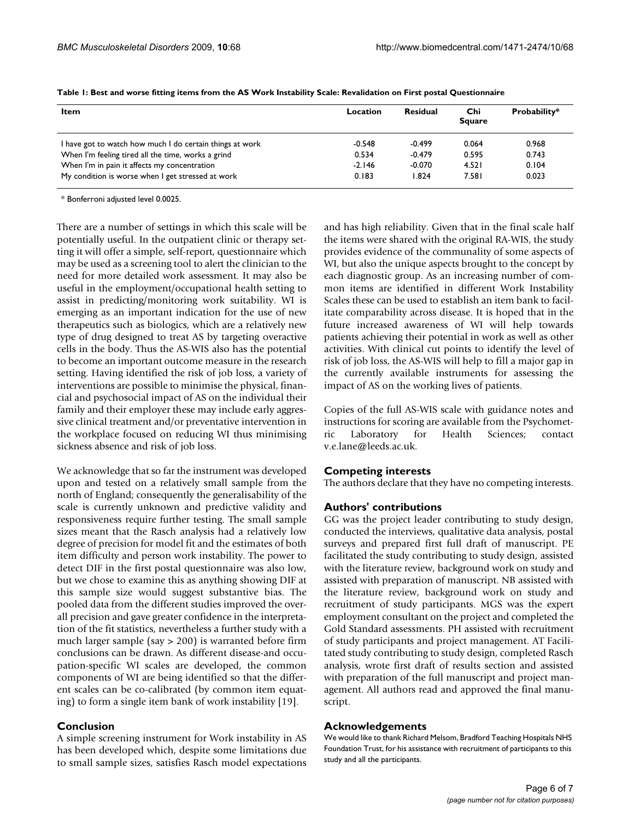| <b>Item</b>                                              | Location | <b>Residual</b> | Chi<br><b>Square</b> | Probability* |
|----------------------------------------------------------|----------|-----------------|----------------------|--------------|
| I have got to watch how much I do certain things at work | $-0.548$ | $-0.499$        | 0.064                | 0.968        |
| When I'm feeling tired all the time, works a grind       | 0.534    | $-0.479$        | 0.595                | 0.743        |
| When I'm in pain it affects my concentration             | $-2.146$ | $-0.070$        | 4.521                | 0.104        |
| My condition is worse when I get stressed at work        | 0.183    | 1.824           | 7.581                | 0.023        |

**Table 1: Best and worse fitting items from the AS Work Instability Scale: Revalidation on First postal Questionnaire**

\* Bonferroni adjusted level 0.0025.

There are a number of settings in which this scale will be potentially useful. In the outpatient clinic or therapy setting it will offer a simple, self-report, questionnaire which may be used as a screening tool to alert the clinician to the need for more detailed work assessment. It may also be useful in the employment/occupational health setting to assist in predicting/monitoring work suitability. WI is emerging as an important indication for the use of new therapeutics such as biologics, which are a relatively new type of drug designed to treat AS by targeting overactive cells in the body. Thus the AS-WIS also has the potential to become an important outcome measure in the research setting. Having identified the risk of job loss, a variety of interventions are possible to minimise the physical, financial and psychosocial impact of AS on the individual their family and their employer these may include early aggressive clinical treatment and/or preventative intervention in the workplace focused on reducing WI thus minimising sickness absence and risk of job loss.

We acknowledge that so far the instrument was developed upon and tested on a relatively small sample from the north of England; consequently the generalisability of the scale is currently unknown and predictive validity and responsiveness require further testing. The small sample sizes meant that the Rasch analysis had a relatively low degree of precision for model fit and the estimates of both item difficulty and person work instability. The power to detect DIF in the first postal questionnaire was also low, but we chose to examine this as anything showing DIF at this sample size would suggest substantive bias. The pooled data from the different studies improved the overall precision and gave greater confidence in the interpretation of the fit statistics, nevertheless a further study with a much larger sample (say > 200) is warranted before firm conclusions can be drawn. As different disease-and occupation-specific WI scales are developed, the common components of WI are being identified so that the different scales can be co-calibrated (by common item equating) to form a single item bank of work instability [19].

#### **Conclusion**

A simple screening instrument for Work instability in AS has been developed which, despite some limitations due to small sample sizes, satisfies Rasch model expectations

and has high reliability. Given that in the final scale half the items were shared with the original RA-WIS, the study provides evidence of the communality of some aspects of WI, but also the unique aspects brought to the concept by each diagnostic group. As an increasing number of common items are identified in different Work Instability Scales these can be used to establish an item bank to facilitate comparability across disease. It is hoped that in the future increased awareness of WI will help towards patients achieving their potential in work as well as other activities. With clinical cut points to identify the level of risk of job loss, the AS-WIS will help to fill a major gap in the currently available instruments for assessing the impact of AS on the working lives of patients.

Copies of the full AS-WIS scale with guidance notes and instructions for scoring are available from the Psychometric Laboratory for Health Sciences; contact v.e.lane@leeds.ac.uk.

#### **Competing interests**

The authors declare that they have no competing interests.

#### **Authors' contributions**

GG was the project leader contributing to study design, conducted the interviews, qualitative data analysis, postal surveys and prepared first full draft of manuscript. PE facilitated the study contributing to study design, assisted with the literature review, background work on study and assisted with preparation of manuscript. NB assisted with the literature review, background work on study and recruitment of study participants. MGS was the expert employment consultant on the project and completed the Gold Standard assessments. PH assisted with recruitment of study participants and project management. AT Facilitated study contributing to study design, completed Rasch analysis, wrote first draft of results section and assisted with preparation of the full manuscript and project management. All authors read and approved the final manuscript.

#### **Acknowledgements**

We would like to thank Richard Melsom, Bradford Teaching Hospitals NHS Foundation Trust, for his assistance with recruitment of participants to this study and all the participants.